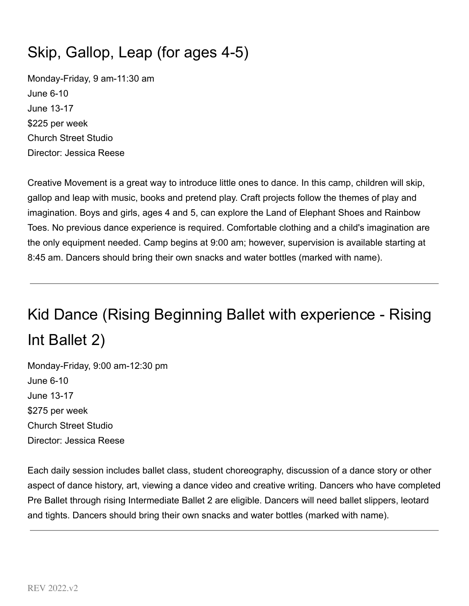## Skip, Gallop, Leap (for ages 4-5)

Monday-Friday, 9 am-11:30 am June 6-10 June 13-17 \$225 per week Church Street Studio Director: Jessica Reese

Creative Movement is a great way to introduce little ones to dance. In this camp, children will skip, gallop and leap with music, books and pretend play. Craft projects follow the themes of play and imagination. Boys and girls, ages 4 and 5, can explore the Land of Elephant Shoes and Rainbow Toes. No previous dance experience is required. Comfortable clothing and a child's imagination are the only equipment needed. Camp begins at 9:00 am; however, supervision is available starting at 8:45 am. Dancers should bring their own snacks and water bottles (marked with name).

# Kid Dance (Rising Beginning Ballet with experience - Rising Int Ballet 2)

Monday-Friday, 9:00 am-12:30 pm June 6-10 June 13-17 \$275 per week Church Street Studio Director: Jessica Reese

Each daily session includes ballet class, student choreography, discussion of a dance story or other aspect of dance history, art, viewing a dance video and creative writing. Dancers who have completed Pre Ballet through rising Intermediate Ballet 2 are eligible. Dancers will need ballet slippers, leotard and tights. Dancers should bring their own snacks and water bottles (marked with name).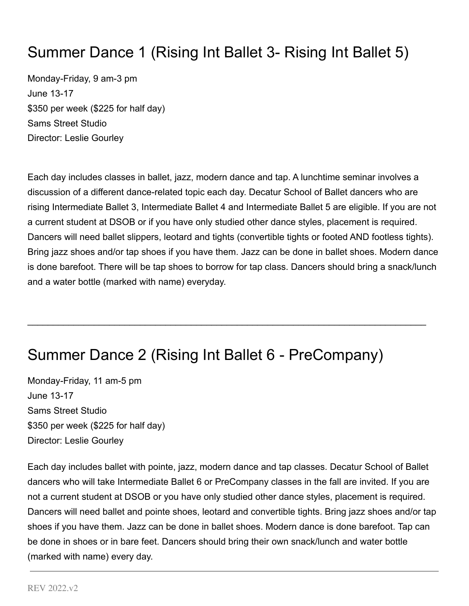## Summer Dance 1 (Rising Int Ballet 3- Rising Int Ballet 5)

Monday-Friday, 9 am-3 pm June 13-17 \$350 per week (\$225 for half day) Sams Street Studio Director: Leslie Gourley

Each day includes classes in ballet, jazz, modern dance and tap. A lunchtime seminar involves a discussion of a different dance-related topic each day. Decatur School of Ballet dancers who are rising Intermediate Ballet 3, Intermediate Ballet 4 and Intermediate Ballet 5 are eligible. If you are not a current student at DSOB or if you have only studied other dance styles, placement is required. Dancers will need ballet slippers, leotard and tights (convertible tights or footed AND footless tights). Bring jazz shoes and/or tap shoes if you have them. Jazz can be done in ballet shoes. Modern dance is done barefoot. There will be tap shoes to borrow for tap class. Dancers should bring a snack/lunch and a water bottle (marked with name) everyday.

 $\mathcal{L}_\mathcal{L} = \mathcal{L}_\mathcal{L} = \mathcal{L}_\mathcal{L} = \mathcal{L}_\mathcal{L} = \mathcal{L}_\mathcal{L} = \mathcal{L}_\mathcal{L} = \mathcal{L}_\mathcal{L} = \mathcal{L}_\mathcal{L} = \mathcal{L}_\mathcal{L} = \mathcal{L}_\mathcal{L} = \mathcal{L}_\mathcal{L} = \mathcal{L}_\mathcal{L} = \mathcal{L}_\mathcal{L} = \mathcal{L}_\mathcal{L} = \mathcal{L}_\mathcal{L} = \mathcal{L}_\mathcal{L} = \mathcal{L}_\mathcal{L}$ 

## Summer Dance 2 (Rising Int Ballet 6 - PreCompany)

Monday-Friday, 11 am-5 pm June 13-17 Sams Street Studio \$350 per week (\$225 for half day) Director: Leslie Gourley

Each day includes ballet with pointe, jazz, modern dance and tap classes. Decatur School of Ballet dancers who will take Intermediate Ballet 6 or PreCompany classes in the fall are invited. If you are not a current student at DSOB or you have only studied other dance styles, placement is required. Dancers will need ballet and pointe shoes, leotard and convertible tights. Bring jazz shoes and/or tap shoes if you have them. Jazz can be done in ballet shoes. Modern dance is done barefoot. Tap can be done in shoes or in bare feet. Dancers should bring their own snack/lunch and water bottle (marked with name) every day.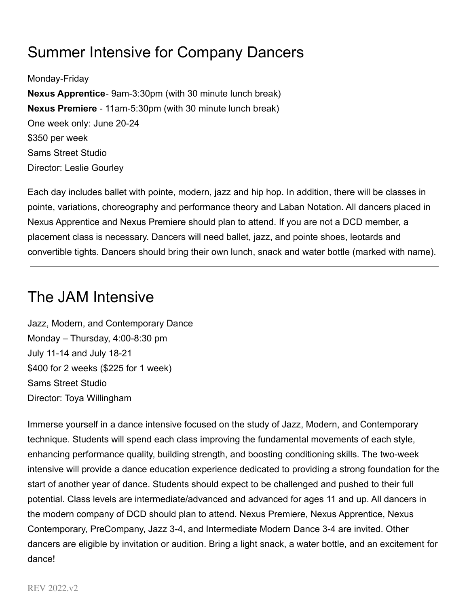## Summer Intensive for Company Dancers

Monday-Friday **Nexus Apprentice**- 9am-3:30pm (with 30 minute lunch break) **Nexus Premiere** - 11am-5:30pm (with 30 minute lunch break) One week only: June 20-24 \$350 per week Sams Street Studio Director: Leslie Gourley

Each day includes ballet with pointe, modern, jazz and hip hop. In addition, there will be classes in pointe, variations, choreography and performance theory and Laban Notation. All dancers placed in Nexus Apprentice and Nexus Premiere should plan to attend. If you are not a DCD member, a placement class is necessary. Dancers will need ballet, jazz, and pointe shoes, leotards and convertible tights. Dancers should bring their own lunch, snack and water bottle (marked with name).

### The JAM Intensive

Jazz, Modern, and Contemporary Dance Monday – Thursday, 4:00-8:30 pm July 11-14 and July 18-21 \$400 for 2 weeks (\$225 for 1 week) Sams Street Studio Director: Toya Willingham

Immerse yourself in a dance intensive focused on the study of Jazz, Modern, and Contemporary technique. Students will spend each class improving the fundamental movements of each style, enhancing performance quality, building strength, and boosting conditioning skills. The two-week intensive will provide a dance education experience dedicated to providing a strong foundation for the start of another year of dance. Students should expect to be challenged and pushed to their full potential. Class levels are intermediate/advanced and advanced for ages 11 and up. All dancers in the modern company of DCD should plan to attend. Nexus Premiere, Nexus Apprentice, Nexus Contemporary, PreCompany, Jazz 3-4, and Intermediate Modern Dance 3-4 are invited. Other dancers are eligible by invitation or audition. Bring a light snack, a water bottle, and an excitement for dance!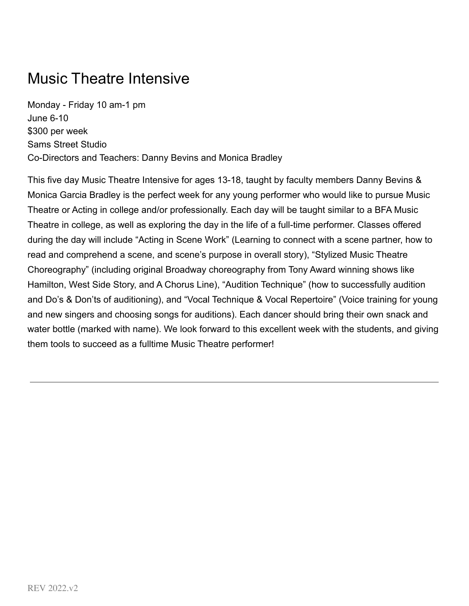## Music Theatre Intensive

Monday - Friday 10 am-1 pm June 6-10 \$300 per week Sams Street Studio Co-Directors and Teachers: Danny Bevins and Monica Bradley

This five day Music Theatre Intensive for ages 13-18, taught by faculty members Danny Bevins & Monica Garcia Bradley is the perfect week for any young performer who would like to pursue Music Theatre or Acting in college and/or professionally. Each day will be taught similar to a BFA Music Theatre in college, as well as exploring the day in the life of a full-time performer. Classes offered during the day will include "Acting in Scene Work" (Learning to connect with a scene partner, how to read and comprehend a scene, and scene's purpose in overall story), "Stylized Music Theatre Choreography" (including original Broadway choreography from Tony Award winning shows like Hamilton, West Side Story, and A Chorus Line), "Audition Technique" (how to successfully audition and Do's & Don'ts of auditioning), and "Vocal Technique & Vocal Repertoire" (Voice training for young and new singers and choosing songs for auditions). Each dancer should bring their own snack and water bottle (marked with name). We look forward to this excellent week with the students, and giving them tools to succeed as a fulltime Music Theatre performer!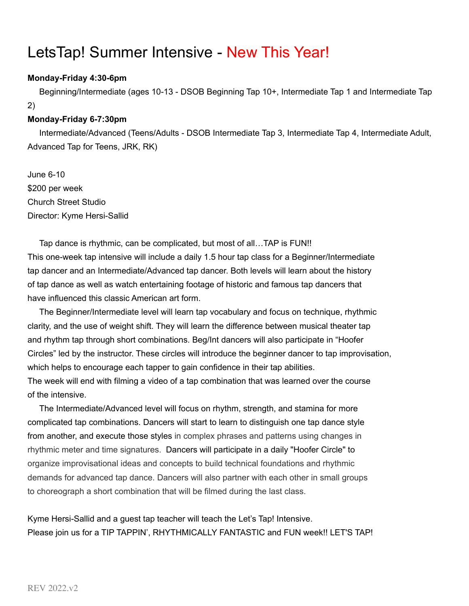## LetsTap! Summer Intensive - New This Year!

#### **Monday-Friday 4:30-6pm**

Beginning/Intermediate (ages 10-13 - DSOB Beginning Tap 10+, Intermediate Tap 1 and Intermediate Tap 2)

#### **Monday-Friday 6-7:30pm**

Intermediate/Advanced (Teens/Adults - DSOB Intermediate Tap 3, Intermediate Tap 4, Intermediate Adult, Advanced Tap for Teens, JRK, RK)

June 6-10 \$200 per week Church Street Studio Director: Kyme Hersi-Sallid

Tap dance is rhythmic, can be complicated, but most of all…TAP is FUN!! This one-week tap intensive will include a daily 1.5 hour tap class for a Beginner/Intermediate tap dancer and an Intermediate/Advanced tap dancer. Both levels will learn about the history of tap dance as well as watch entertaining footage of historic and famous tap dancers that have influenced this classic American art form.

The Beginner/Intermediate level will learn tap vocabulary and focus on technique, rhythmic clarity, and the use of weight shift. They will learn the difference between musical theater tap and rhythm tap through short combinations. Beg/Int dancers will also participate in "Hoofer Circles" led by the instructor. These circles will introduce the beginner dancer to tap improvisation, which helps to encourage each tapper to gain confidence in their tap abilities.

The week will end with filming a video of a tap combination that was learned over the course of the intensive.

The Intermediate/Advanced level will focus on rhythm, strength, and stamina for more complicated tap combinations. Dancers will start to learn to distinguish one tap dance style from another, and execute those styles in complex phrases and patterns using changes in rhythmic meter and time signatures. Dancers will participate in a daily "Hoofer Circle" to organize improvisational ideas and concepts to build technical foundations and rhythmic demands for advanced tap dance. Dancers will also partner with each other in small groups to choreograph a short combination that will be filmed during the last class.

Kyme Hersi-Sallid and a guest tap teacher will teach the Let's Tap! Intensive. Please join us for a TIP TAPPIN', RHYTHMICALLY FANTASTIC and FUN week!! LET'S TAP!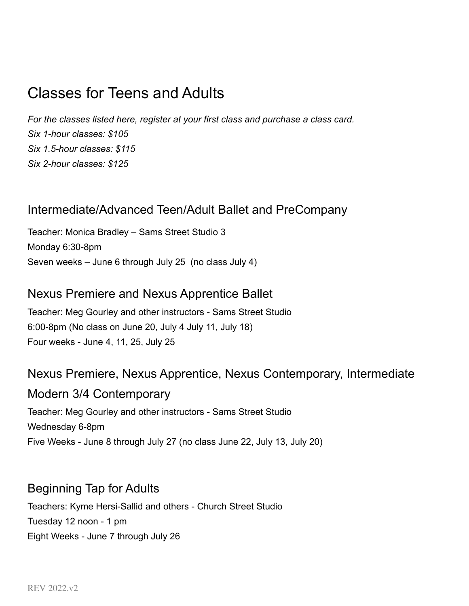## Classes for Teens and Adults

*For the classes listed here, register at your first class and purchase a class card. Six 1-hour classes: \$105 Six 1.5-hour classes: \$115 Six 2-hour classes: \$125*

### Intermediate/Advanced Teen/Adult Ballet and PreCompany

Teacher: Monica Bradley – Sams Street Studio 3 Monday 6:30-8pm Seven weeks – June 6 through July 25 (no class July 4)

### Nexus Premiere and Nexus Apprentice Ballet

Teacher: Meg Gourley and other instructors - Sams Street Studio 6:00-8pm (No class on June 20, July 4 July 11, July 18) Four weeks - June 4, 11, 25, July 25

### Nexus Premiere, Nexus Apprentice, Nexus Contemporary, Intermediate

Modern 3/4 Contemporary

Teacher: Meg Gourley and other instructors - Sams Street Studio Wednesday 6-8pm Five Weeks - June 8 through July 27 (no class June 22, July 13, July 20)

### Beginning Tap for Adults

Teachers: Kyme Hersi-Sallid and others - Church Street Studio Tuesday 12 noon - 1 pm Eight Weeks - June 7 through July 26